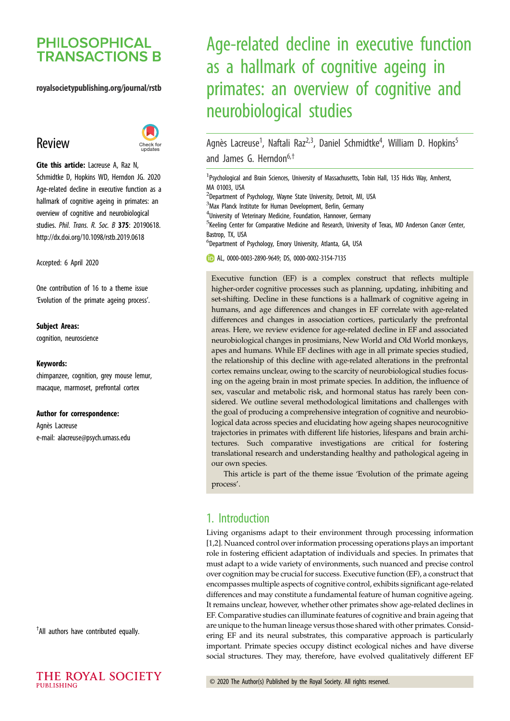# **PHILOSOPHICAL TRANSACTIONS B**

### royalsocietypublishing.org/journal/rstb

# Review



Cite this article: Lacreuse A, Raz N, Schmidtke D, Hopkins WD, Herndon JG. 2020 Age-related decline in executive function as a hallmark of cognitive ageing in primates: an overview of cognitive and neurobiological studies. Phil. Trans. R. Soc. B 375: 20190618. http://dx.doi.org/10.1098/rstb.2019.0618

Accepted: 6 April 2020

One contribution of 16 to a theme issue '[Evolution of the primate ageing process](http://dx.doi.org/10.1098/rstb/375/1811)'.

#### Subject Areas:

cognition, neuroscience

#### Keywords:

chimpanzee, cognition, grey mouse lemur, macaque, marmoset, prefrontal cortex

#### Author for correspondence:

Agnès Lacreuse e-mail: [alacreuse@psych.umass.edu](mailto:alacreuse@psych.umass.edu)

† All authors have contributed equally.

# Age-related decline in executive function as a hallmark of cognitive ageing in primates: an overview of cognitive and neurobiological studies

Agnès Lacreuse<sup>1</sup>, Naftali Raz<sup>2,3</sup>, Daniel Schmidtke<sup>4</sup>, William D. Hopkins<sup>5</sup> and James G. Herndon<sup>6,†</sup>

<sup>1</sup>Psychological and Brain Sciences, University of Massachusetts, Tobin Hall, 135 Hicks Way, Amherst, MA 01003, USA

<sup>2</sup>Department of Psychology, Wayne State University, Detroit, MI, USA <sup>3</sup>Max Planck Institute for Human Development, Berlin, Germany 4 University of Veterinary Medicine, Foundation, Hannover, Germany <sup>5</sup> Keeling Center for Comparative Medicine and Research, University of Texas, MD Anderson Cancer Center, Bastrop, TX, USA 6 Department of Psychology, Emory University, Atlanta, GA, USA AL, [0000-0003-2890-9649](http://orcid.org/0000-0003-2890-9649); DS, [0000-0002-3154-7135](http://orcid.org/0000-0002-3154-7135) Executive function (EF) is a complex construct that reflects multiple

higher-order cognitive processes such as planning, updating, inhibiting and set-shifting. Decline in these functions is a hallmark of cognitive ageing in humans, and age differences and changes in EF correlate with age-related differences and changes in association cortices, particularly the prefrontal areas. Here, we review evidence for age-related decline in EF and associated neurobiological changes in prosimians, New World and Old World monkeys, apes and humans. While EF declines with age in all primate species studied, the relationship of this decline with age-related alterations in the prefrontal cortex remains unclear, owing to the scarcity of neurobiological studies focusing on the ageing brain in most primate species. In addition, the influence of sex, vascular and metabolic risk, and hormonal status has rarely been considered. We outline several methodological limitations and challenges with the goal of producing a comprehensive integration of cognitive and neurobiological data across species and elucidating how ageing shapes neurocognitive trajectories in primates with different life histories, lifespans and brain architectures. Such comparative investigations are critical for fostering translational research and understanding healthy and pathological ageing in our own species.

This article is part of the theme issue 'Evolution of the primate ageing process'.

# 1. Introduction

Living organisms adapt to their environment through processing information [[1,2\]](#page-5-0). Nuanced control over information processing operations plays an important role in fostering efficient adaptation of individuals and species. In primates that must adapt to a wide variety of environments, such nuanced and precise control over cognition may be crucial for success. Executive function (EF), a construct that encompasses multiple aspects of cognitive control, exhibits significant age-related differences and may constitute a fundamental feature of human cognitive ageing. It remains unclear, however, whether other primates show age-related declines in EF. Comparative studies can illuminate features of cognitive and brain ageing that are unique to the human lineage versus those shared with other primates. Considering EF and its neural substrates, this comparative approach is particularly important. Primate species occupy distinct ecological niches and have diverse social structures. They may, therefore, have evolved qualitatively different EF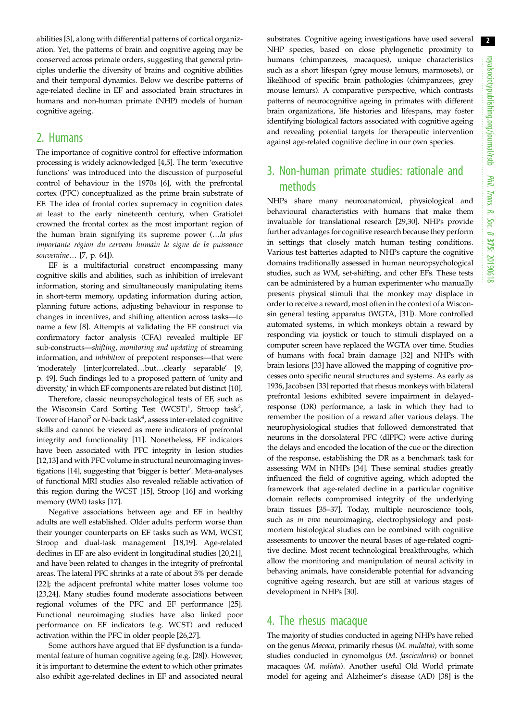abilities [\[3\]](#page-5-0), along with differential patterns of cortical organization. Yet, the patterns of brain and cognitive ageing may be conserved across primate orders, suggesting that general principles underlie the diversity of brains and cognitive abilities and their temporal dynamics. Below we describe patterns of age-related decline in EF and associated brain structures in humans and non-human primate (NHP) models of human cognitive ageing.

## 2. Humans

The importance of cognitive control for effective information processing is widely acknowledged [\[4,5\]](#page-5-0). The term 'executive functions' was introduced into the discussion of purposeful control of behaviour in the 1970s [\[6\]](#page-5-0), with the prefrontal cortex (PFC) conceptualized as the prime brain substrate of EF. The idea of frontal cortex supremacy in cognition dates at least to the early nineteenth century, when Gratiolet crowned the frontal cortex as the most important region of the human brain signifying its supreme power (…la plus importante région du cerveau humain le signe de la puissance souveraine… [[7](#page-5-0), p. 64]).

EF is a multifactorial construct encompassing many cognitive skills and abilities, such as inhibition of irrelevant information, storing and simultaneously manipulating items in short-term memory, updating information during action, planning future actions, adjusting behaviour in response to changes in incentives, and shifting attention across tasks—to name a few [\[8\]](#page-5-0). Attempts at validating the EF construct via confirmatory factor analysis (CFA) revealed multiple EF sub-constructs—shifting, monitoring and updating of streaming information, and inhibition of prepotent responses—that were 'moderately [inter]correlated…but…clearly separable' [[9](#page-5-0), p. 49]. Such findings led to a proposed pattern of 'unity and diversity,' in which EF components are related but distinct [\[10](#page-5-0)].

Therefore, classic neuropsychological tests of EF, such as the Wisconsin Card Sorting Test  $(WCST)^1$ , Stroop task<sup>2</sup>, Tower of Hanoi<sup>3</sup> or N-back task<sup>4</sup>, assess inter-related cognitive skills and cannot be viewed as mere indicators of prefrontal integrity and functionality [\[11\]](#page-5-0). Nonetheless, EF indicators have been associated with PFC integrity in lesion studies [\[12,13](#page-5-0)] and with PFC volume in structural neuroimaging investigations [\[14](#page-5-0)], suggesting that 'bigger is better'. Meta-analyses of functional MRI studies also revealed reliable activation of this region during the WCST [[15](#page-5-0)], Stroop [\[16](#page-5-0)] and working memory (WM) tasks [[17\]](#page-5-0).

Negative associations between age and EF in healthy adults are well established. Older adults perform worse than their younger counterparts on EF tasks such as WM, WCST, Stroop and dual-task management [\[18,19](#page-5-0)]. Age-related declines in EF are also evident in longitudinal studies [\[20,21](#page-5-0)], and have been related to changes in the integrity of prefrontal areas. The lateral PFC shrinks at a rate of about 5% per decade [\[22](#page-6-0)]; the adjacent prefrontal white matter loses volume too [\[23,24](#page-6-0)]. Many studies found moderate associations between regional volumes of the PFC and EF performance [\[25](#page-6-0)]. Functional neuroimaging studies have also linked poor performance on EF indicators (e.g. WCST) and reduced activation within the PFC in older people [\[26,27](#page-6-0)].

Some authors have argued that EF dysfunction is a fundamental feature of human cognitive ageing (e.g. [\[28](#page-6-0)]). However, it is important to determine the extent to which other primates also exhibit age-related declines in EF and associated neural substrates. Cognitive ageing investigations have used several NHP species, based on close phylogenetic proximity to humans (chimpanzees, macaques), unique characteristics such as a short lifespan (grey mouse lemurs, marmosets), or likelihood of specific brain pathologies (chimpanzees, grey mouse lemurs). A comparative perspective, which contrasts patterns of neurocognitive ageing in primates with different brain organizations, life histories and lifespans, may foster identifying biological factors associated with cognitive ageing and revealing potential targets for therapeutic intervention against age-related cognitive decline in our own species.

# 3. Non-human primate studies: rationale and methods

NHPs share many neuroanatomical, physiological and behavioural characteristics with humans that make them invaluable for translational research [[29,30\]](#page-6-0). NHPs provide further advantages for cognitive research because they perform in settings that closely match human testing conditions. Various test batteries adapted to NHPs capture the cognitive domains traditionally assessed in human neuropsychological studies, such as WM, set-shifting, and other EFs. These tests can be administered by a human experimenter who manually presents physical stimuli that the monkey may displace in order to receive a reward, most often in the context of a Wisconsin general testing apparatus (WGTA, [\[31](#page-6-0)]). More controlled automated systems, in which monkeys obtain a reward by responding via joystick or touch to stimuli displayed on a computer screen have replaced the WGTA over time. Studies of humans with focal brain damage [\[32](#page-6-0)] and NHPs with brain lesions [[33](#page-6-0)] have allowed the mapping of cognitive processes onto specific neural structures and systems. As early as 1936, Jacobsen [\[33](#page-6-0)] reported that rhesus monkeys with bilateral prefrontal lesions exhibited severe impairment in delayedresponse (DR) performance, a task in which they had to remember the position of a reward after various delays. The neurophysiological studies that followed demonstrated that neurons in the dorsolateral PFC (dlPFC) were active during the delays and encoded the location of the cue or the direction of the response, establishing the DR as a benchmark task for assessing WM in NHPs [[34](#page-6-0)]. These seminal studies greatly influenced the field of cognitive ageing, which adopted the framework that age-related decline in a particular cognitive domain reflects compromised integrity of the underlying brain tissues [\[35](#page-6-0)–[37\]](#page-6-0). Today, multiple neuroscience tools, such as in vivo neuroimaging, electrophysiology and postmortem histological studies can be combined with cognitive assessments to uncover the neural bases of age-related cognitive decline. Most recent technological breakthroughs, which allow the monitoring and manipulation of neural activity in behaving animals, have considerable potential for advancing cognitive ageing research, but are still at various stages of development in NHPs [[30\]](#page-6-0).

# 4. The rhesus macaque

The majority of studies conducted in ageing NHPs have relied on the genus Macaca, primarily rhesus (M. mulatta), with some studies conducted in cynomolgus (M. fascicularis) or bonnet macaques (M. radiata). Another useful Old World primate model for ageing and Alzheimer's disease (AD) [[38\]](#page-6-0) is the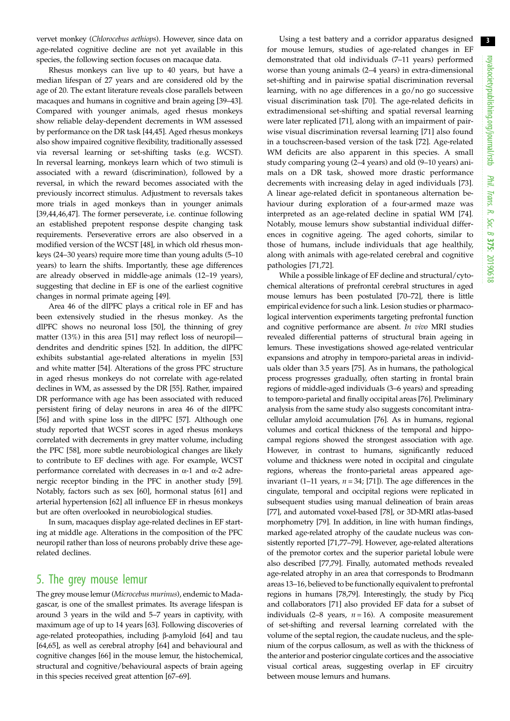vervet monkey (Chlorocebus aethiops). However, since data on age-related cognitive decline are not yet available in this species, the following section focuses on macaque data.

Rhesus monkeys can live up to 40 years, but have a median lifespan of 27 years and are considered old by the age of 20. The extant literature reveals close parallels between macaques and humans in cognitive and brain ageing [[39](#page-6-0)–[43](#page-6-0)]. Compared with younger animals, aged rhesus monkeys show reliable delay-dependent decrements in WM assessed by performance on the DR task [\[44](#page-6-0),[45\]](#page-6-0). Aged rhesus monkeys also show impaired cognitive flexibility, traditionally assessed via reversal learning or set-shifting tasks (e.g. WCST). In reversal learning, monkeys learn which of two stimuli is associated with a reward (discrimination), followed by a reversal, in which the reward becomes associated with the previously incorrect stimulus. Adjustment to reversals takes more trials in aged monkeys than in younger animals [\[39](#page-6-0),[44,46,47](#page-6-0)]. The former perseverate, i.e. continue following an established prepotent response despite changing task requirements. Perseverative errors are also observed in a modified version of the WCST [[48\]](#page-6-0), in which old rhesus monkeys (24–30 years) require more time than young adults (5–10 years) to learn the shifts. Importantly, these age differences are already observed in middle-age animals (12–19 years), suggesting that decline in EF is one of the earliest cognitive changes in normal primate ageing [\[49](#page-6-0)].

Area 46 of the dlPFC plays a critical role in EF and has been extensively studied in the rhesus monkey. As the dlPFC shows no neuronal loss [\[50](#page-6-0)], the thinning of grey matter (13%) in this area [[51\]](#page-6-0) may reflect loss of neuropil dendrites and dendritic spines [\[52](#page-6-0)]. In addition, the dlPFC exhibits substantial age-related alterations in myelin [[53\]](#page-6-0) and white matter [[54\]](#page-6-0). Alterations of the gross PFC structure in aged rhesus monkeys do not correlate with age-related declines in WM, as assessed by the DR [\[55](#page-6-0)]. Rather, impaired DR performance with age has been associated with reduced persistent firing of delay neurons in area 46 of the dlPFC [\[56](#page-6-0)] and with spine loss in the dlPFC [[57\]](#page-6-0). Although one study reported that WCST scores in aged rhesus monkeys correlated with decrements in grey matter volume, including the PFC [[58\]](#page-6-0), more subtle neurobiological changes are likely to contribute to EF declines with age. For example, WCST performance correlated with decreases in α-1 and α-2 adrenergic receptor binding in the PFC in another study [\[59](#page-6-0)]. Notably, factors such as sex [[60\]](#page-6-0), hormonal status [[61\]](#page-6-0) and arterial hypertension [[62\]](#page-6-0) all influence EF in rhesus monkeys but are often overlooked in neurobiological studies.

In sum, macaques display age-related declines in EF starting at middle age. Alterations in the composition of the PFC neuropil rather than loss of neurons probably drive these agerelated declines.

# 5. The grey mouse lemur

The grey mouse lemur (Microcebus murinus), endemic to Madagascar, is one of the smallest primates. Its average lifespan is around 3 years in the wild and 5–7 years in captivity, with maximum age of up to 14 years [\[63](#page-7-0)]. Following discoveries of age-related proteopathies, including β-amyloid [\[64](#page-7-0)] and tau [\[64,65](#page-7-0)], as well as cerebral atrophy [\[64](#page-7-0)] and behavioural and cognitive changes [[66\]](#page-7-0) in the mouse lemur, the histochemical, structural and cognitive/behavioural aspects of brain ageing in this species received great attention [[67](#page-7-0)–[69](#page-7-0)].

Using a test battery and a corridor apparatus designed for mouse lemurs, studies of age-related changes in EF demonstrated that old individuals (7–11 years) performed worse than young animals (2–4 years) in extra-dimensional set-shifting and in pairwise spatial discrimination reversal learning, with no age differences in a go/no go successive visual discrimination task [[70](#page-7-0)]. The age-related deficits in extradimensional set-shifting and spatial reversal learning were later replicated [[71\]](#page-7-0), along with an impairment of pairwise visual discrimination reversal learning [[71\]](#page-7-0) also found in a touchscreen-based version of the task [[72\]](#page-7-0). Age-related WM deficits are also apparent in this species. A small study comparing young (2–4 years) and old (9–10 years) animals on a DR task, showed more drastic performance decrements with increasing delay in aged individuals [\[73\]](#page-7-0). A linear age-related deficit in spontaneous alternation behaviour during exploration of a four-armed maze was interpreted as an age-related decline in spatial WM [\[74\]](#page-7-0). Notably, mouse lemurs show substantial individual differences in cognitive ageing. The aged cohorts, similar to those of humans, include individuals that age healthily, along with animals with age-related cerebral and cognitive pathologies [\[71](#page-7-0),[72\]](#page-7-0).

While a possible linkage of EF decline and structural/cytochemical alterations of prefrontal cerebral structures in aged mouse lemurs has been postulated [\[70](#page-7-0)–[72\]](#page-7-0), there is little empirical evidence for such a link. Lesion studies or pharmacological intervention experiments targeting prefrontal function and cognitive performance are absent. In vivo MRI studies revealed differential patterns of structural brain ageing in lemurs. These investigations showed age-related ventricular expansions and atrophy in temporo-parietal areas in individuals older than 3.5 years [\[75](#page-7-0)]. As in humans, the pathological process progresses gradually, often starting in frontal brain regions of middle-aged individuals (3–6 years) and spreading to temporo-parietal and finally occipital areas [\[76](#page-7-0)]. Preliminary analysis from the same study also suggests concomitant intracellular amyloid accumulation [[76\]](#page-7-0). As in humans, regional volumes and cortical thickness of the temporal and hippocampal regions showed the strongest association with age. However, in contrast to humans, significantly reduced volume and thickness were noted in occipital and cingulate regions, whereas the fronto-parietal areas appeared ageinvariant (1–11 years,  $n = 34$ ; [[71\]](#page-7-0)). The age differences in the cingulate, temporal and occipital regions were replicated in subsequent studies using manual delineation of brain areas [[77\]](#page-7-0), and automated voxel-based [[78\]](#page-7-0), or 3D-MRI atlas-based morphometry [\[79](#page-7-0)]. In addition, in line with human findings, marked age-related atrophy of the caudate nucleus was consistently reported [\[71](#page-7-0),[77](#page-7-0)–[79\]](#page-7-0). However, age-related alterations of the premotor cortex and the superior parietal lobule were also described [\[77](#page-7-0),[79](#page-7-0)]. Finally, automated methods revealed age-related atrophy in an area that corresponds to Brodmann areas 13–16, believed to be functionally equivalent to prefrontal regions in humans [\[78,79](#page-7-0)]. Interestingly, the study by Picq and collaborators [[71\]](#page-7-0) also provided EF data for a subset of individuals (2–8 years,  $n = 16$ ). A composite measurement of set-shifting and reversal learning correlated with the volume of the septal region, the caudate nucleus, and the splenium of the corpus callosum, as well as with the thickness of the anterior and posterior cingulate cortices and the associative visual cortical areas, suggesting overlap in EF circuitry between mouse lemurs and humans.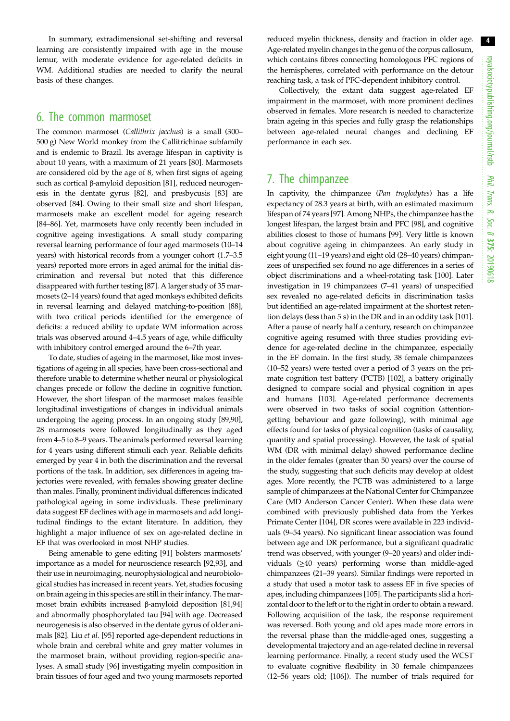In summary, extradimensional set-shifting and reversal learning are consistently impaired with age in the mouse lemur, with moderate evidence for age-related deficits in WM. Additional studies are needed to clarify the neural basis of these changes.

## 6. The common marmoset

The common marmoset (Callithrix jacchus) is a small (300– 500 g) New World monkey from the Callitrichinae subfamily and is endemic to Brazil. Its average lifespan in captivity is about 10 years, with a maximum of 21 years [\[80](#page-7-0)]. Marmosets are considered old by the age of 8, when first signs of ageing such as cortical β-amyloid deposition [\[81](#page-7-0)], reduced neurogenesis in the dentate gyrus [\[82](#page-7-0)], and presbycusis [[83\]](#page-7-0) are observed [\[84](#page-7-0)]. Owing to their small size and short lifespan, marmosets make an excellent model for ageing research [\[84](#page-7-0)–[86\]](#page-7-0). Yet, marmosets have only recently been included in cognitive ageing investigations. A small study comparing reversal learning performance of four aged marmosets (10–14 years) with historical records from a younger cohort (1.7–3.5 years) reported more errors in aged animal for the initial discrimination and reversal but noted that this difference disappeared with further testing [[87\]](#page-7-0). A larger study of 35 marmosets (2–14 years) found that aged monkeys exhibited deficits in reversal learning and delayed matching-to-position [\[88](#page-7-0)], with two critical periods identified for the emergence of deficits: a reduced ability to update WM information across trials was observed around 4–4.5 years of age, while difficulty with inhibitory control emerged around the 6–7th year.

To date, studies of ageing in the marmoset, like most investigations of ageing in all species, have been cross-sectional and therefore unable to determine whether neural or physiological changes precede or follow the decline in cognitive function. However, the short lifespan of the marmoset makes feasible longitudinal investigations of changes in individual animals undergoing the ageing process. In an ongoing study [\[89,90](#page-7-0)], 28 marmosets were followed longitudinally as they aged from 4–5 to 8–9 years. The animals performed reversal learning for 4 years using different stimuli each year. Reliable deficits emerged by year 4 in both the discrimination and the reversal portions of the task. In addition, sex differences in ageing trajectories were revealed, with females showing greater decline than males. Finally, prominent individual differences indicated pathological ageing in some individuals. These preliminary data suggest EF declines with age in marmosets and add longitudinal findings to the extant literature. In addition, they highlight a major influence of sex on age-related decline in EF that was overlooked in most NHP studies.

Being amenable to gene editing [[91\]](#page-7-0) bolsters marmosets' importance as a model for neuroscience research [\[92](#page-7-0),[93\]](#page-7-0), and their use in neuroimaging, neurophysiological and neurobiological studies has increased in recent years. Yet, studies focusing on brain ageing in this species are still in their infancy. The marmoset brain exhibits increased β-amyloid deposition [[81](#page-7-0),[94\]](#page-7-0) and abnormally phosphorylated tau [\[94](#page-7-0)] with age. Decreased neurogenesis is also observed in the dentate gyrus of older animals [\[82](#page-7-0)]. Liu et al. [\[95](#page-7-0)] reported age-dependent reductions in whole brain and cerebral white and grey matter volumes in the marmoset brain, without providing region-specific analyses. A small study [[96\]](#page-7-0) investigating myelin composition in brain tissues of four aged and two young marmosets reported

reduced myelin thickness, density and fraction in older age. Age-related myelin changes in the genu of the corpus callosum, which contains fibres connecting homologous PFC regions of the hemispheres, correlated with performance on the detour reaching task, a task of PFC-dependent inhibitory control.

Collectively, the extant data suggest age-related EF impairment in the marmoset, with more prominent declines observed in females. More research is needed to characterize brain ageing in this species and fully grasp the relationships between age-related neural changes and declining EF performance in each sex.

## 7. The chimpanzee

In captivity, the chimpanzee (Pan troglodytes) has a life expectancy of 28.3 years at birth, with an estimated maximum lifespan of 74 years [[97\]](#page-7-0). Among NHPs, the chimpanzee has the longest lifespan, the largest brain and PFC [\[98](#page-7-0)], and cognitive abilities closest to those of humans [[99\]](#page-7-0). Very little is known about cognitive ageing in chimpanzees. An early study in eight young (11–19 years) and eight old (28–40 years) chimpanzees of unspecified sex found no age differences in a series of object discriminations and a wheel-rotating task [[100\]](#page-7-0). Later investigation in 19 chimpanzees (7–41 years) of unspecified sex revealed no age-related deficits in discrimination tasks but identified an age-related impairment at the shortest retention delays (less than 5 s) in the DR and in an oddity task [\[101\]](#page-7-0). After a pause of nearly half a century, research on chimpanzee cognitive ageing resumed with three studies providing evidence for age-related decline in the chimpanzee, especially in the EF domain. In the first study, 38 female chimpanzees (10–52 years) were tested over a period of 3 years on the primate cognition test battery (PCTB) [\[102\]](#page-7-0), a battery originally designed to compare social and physical cognition in apes and humans [[103](#page-7-0)]. Age-related performance decrements were observed in two tasks of social cognition (attentiongetting behaviour and gaze following), with minimal age effects found for tasks of physical cognition (tasks of causality, quantity and spatial processing). However, the task of spatial WM (DR with minimal delay) showed performance decline in the older females (greater than 50 years) over the course of the study, suggesting that such deficits may develop at oldest ages. More recently, the PCTB was administered to a large sample of chimpanzees at the National Center for Chimpanzee Care (MD Anderson Cancer Center). When these data were combined with previously published data from the Yerkes Primate Center [[104\]](#page-8-0), DR scores were available in 223 individuals (9–54 years). No significant linear association was found between age and DR performance, but a significant quadratic trend was observed, with younger (9–20 years) and older individuals (≥40 years) performing worse than middle-aged chimpanzees (21–39 years). Similar findings were reported in a study that used a motor task to assess EF in five species of apes, including chimpanzees [\[105\]](#page-8-0). The participants slid a horizontal door to the left or to the right in order to obtain a reward. Following acquisition of the task, the response requirement was reversed. Both young and old apes made more errors in the reversal phase than the middle-aged ones, suggesting a developmental trajectory and an age-related decline in reversal learning performance. Finally, a recent study used the WCST to evaluate cognitive flexibility in 30 female chimpanzees (12–56 years old; [\[106\]](#page-8-0)). The number of trials required for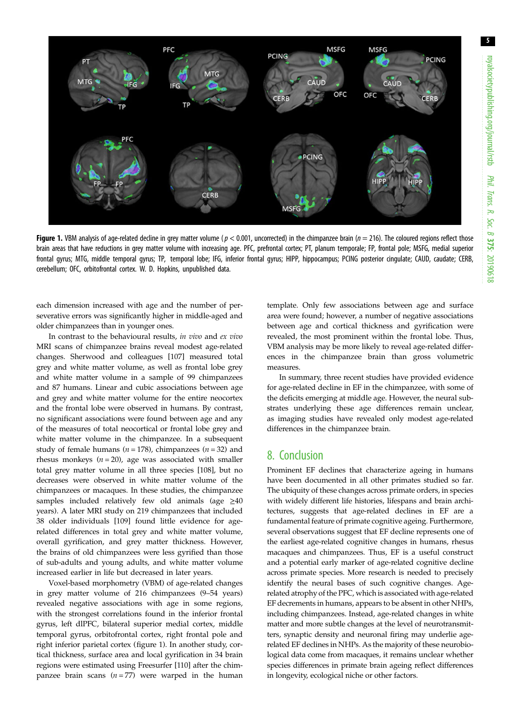

Figure 1. VBM analysis of age-related decline in grey matter volume ( $p < 0.001$ , uncorrected) in the chimpanzee brain ( $n = 216$ ). The coloured regions reflect those brain areas that have reductions in grey matter volume with increasing age. PFC, prefrontal cortex; PT, planum temporale; FP, frontal pole; MSFG, medial superior frontal gyrus; MTG, middle temporal gyrus; TP, temporal lobe; IFG, inferior frontal gyrus; HIPP, hippocampus; PCING posterior cingulate; CAUD, caudate; CERB, cerebellum; OFC, orbitofrontal cortex. W. D. Hopkins, unpublished data.

each dimension increased with age and the number of perseverative errors was significantly higher in middle-aged and older chimpanzees than in younger ones.

In contrast to the behavioural results, in vivo and ex vivo MRI scans of chimpanzee brains reveal modest age-related changes. Sherwood and colleagues [\[107](#page-8-0)] measured total grey and white matter volume, as well as frontal lobe grey and white matter volume in a sample of 99 chimpanzees and 87 humans. Linear and cubic associations between age and grey and white matter volume for the entire neocortex and the frontal lobe were observed in humans. By contrast, no significant associations were found between age and any of the measures of total neocortical or frontal lobe grey and white matter volume in the chimpanzee. In a subsequent study of female humans ( $n = 178$ ), chimpanzees ( $n = 32$ ) and rhesus monkeys ( $n = 20$ ), age was associated with smaller total grey matter volume in all three species [\[108\]](#page-8-0), but no decreases were observed in white matter volume of the chimpanzees or macaques. In these studies, the chimpanzee samples included relatively few old animals (age ≥40 years). A later MRI study on 219 chimpanzees that included 38 older individuals [\[109\]](#page-8-0) found little evidence for agerelated differences in total grey and white matter volume, overall gyrification, and grey matter thickness. However, the brains of old chimpanzees were less gyrified than those of sub-adults and young adults, and white matter volume increased earlier in life but decreased in later years.

Voxel-based morphometry (VBM) of age-related changes in grey matter volume of 216 chimpanzees (9–54 years) revealed negative associations with age in some regions, with the strongest correlations found in the inferior frontal gyrus, left dlPFC, bilateral superior medial cortex, middle temporal gyrus, orbitofrontal cortex, right frontal pole and right inferior parietal cortex (figure 1). In another study, cortical thickness, surface area and local gyrification in 34 brain regions were estimated using Freesurfer [[110\]](#page-8-0) after the chimpanzee brain scans  $(n = 77)$  were warped in the human template. Only few associations between age and surface area were found; however, a number of negative associations between age and cortical thickness and gyrification were revealed, the most prominent within the frontal lobe. Thus, VBM analysis may be more likely to reveal age-related differences in the chimpanzee brain than gross volumetric measures.

In summary, three recent studies have provided evidence for age-related decline in EF in the chimpanzee, with some of the deficits emerging at middle age. However, the neural substrates underlying these age differences remain unclear, as imaging studies have revealed only modest age-related differences in the chimpanzee brain.

# 8. Conclusion

Prominent EF declines that characterize ageing in humans have been documented in all other primates studied so far. The ubiquity of these changes across primate orders, in species with widely different life histories, lifespans and brain architectures, suggests that age-related declines in EF are a fundamental feature of primate cognitive ageing. Furthermore, several observations suggest that EF decline represents one of the earliest age-related cognitive changes in humans, rhesus macaques and chimpanzees. Thus, EF is a useful construct and a potential early marker of age-related cognitive decline across primate species. More research is needed to precisely identify the neural bases of such cognitive changes. Agerelated atrophy of the PFC, which is associated with age-related EF decrements in humans, appears to be absent in other NHPs, including chimpanzees. Instead, age-related changes in white matter and more subtle changes at the level of neurotransmitters, synaptic density and neuronal firing may underlie agerelated EF declines in NHPs. As the majority of these neurobiological data come from macaques, it remains unclear whether species differences in primate brain ageing reflect differences in longevity, ecological niche or other factors.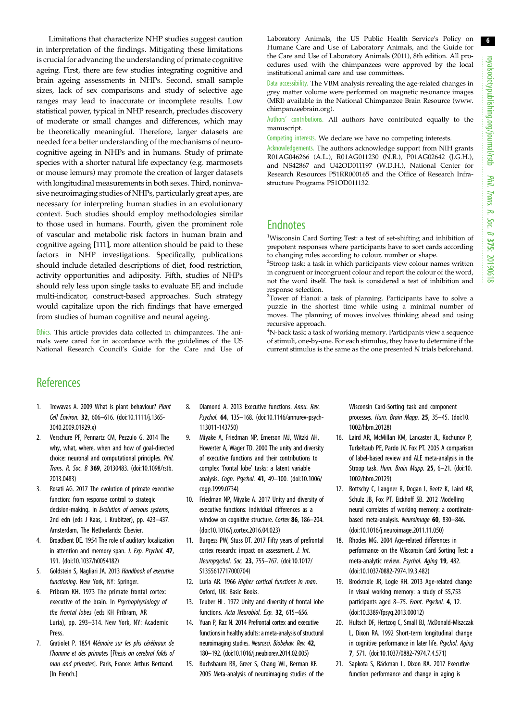<span id="page-5-0"></span>Limitations that characterize NHP studies suggest caution in interpretation of the findings. Mitigating these limitations is crucial for advancing the understanding of primate cognitive ageing. First, there are few studies integrating cognitive and brain ageing assessments in NHPs. Second, small sample sizes, lack of sex comparisons and study of selective age ranges may lead to inaccurate or incomplete results. Low statistical power, typical in NHP research, precludes discovery of moderate or small changes and differences, which may be theoretically meaningful. Therefore, larger datasets are needed for a better understanding of the mechanisms of neurocognitive ageing in NHPs and in humans. Study of primate species with a shorter natural life expectancy (e.g. marmosets or mouse lemurs) may promote the creation of larger datasets with longitudinal measurements in both sexes. Third, noninvasive neuroimaging studies of NHPs, particularly great apes, are necessary for interpreting human studies in an evolutionary context. Such studies should employ methodologies similar to those used in humans. Fourth, given the prominent role of vascular and metabolic risk factors in human brain and cognitive ageing [\[111\]](#page-8-0), more attention should be paid to these factors in NHP investigations. Specifically, publications should include detailed descriptions of diet, food restriction, activity opportunities and adiposity. Fifth, studies of NHPs should rely less upon single tasks to evaluate EF, and include multi-indicator, construct-based approaches. Such strategy would capitalize upon the rich findings that have emerged from studies of human cognitive and neural ageing.

Ethics. This article provides data collected in chimpanzees. The animals were cared for in accordance with the guidelines of the US National Research Council's Guide for the Care and Use of Laboratory Animals, the US Public Health Service's Policy on Humane Care and Use of Laboratory Animals, and the Guide for the Care and Use of Laboratory Animals (2011), 8th edition. All procedures used with the chimpanzees were approved by the local institutional animal care and use committees.

Data accessibility. The VBM analysis revealing the age-related changes in grey matter volume were performed on magnetic resonance images (MRI) available in the National Chimpanzee Brain Resource ([www.](http://www.chimpanzeebrain.org) [chimpanzeebrain.org\)](http://www.chimpanzeebrain.org).

Authors' contributions. All authors have contributed equally to the manuscript.

Competing interests. We declare we have no competing interests.

Acknowledgements. The authors acknowledge support from NIH grants R01AG046266 (A.L.), R01AG011230 (N.R.), P01AG02642 (J.G.H.), and NS42867 and U42OD011197 (W.D.H.), National Center for Research Resources P51RR000165 and the Office of Research Infrastructure Programs P51OD011132.

# **Endnotes**

<sup>1</sup>Wisconsin Card Sorting Test: a test of set-shifting and inhibition of prepotent responses where participants have to sort cards according to changing rules according to colour, number or shape.

2 Stroop task: a task in which participants view colour names written in congruent or incongruent colour and report the colour of the word, not the word itself. The task is considered a test of inhibition and response selection.

<sup>3</sup>Tower of Hanoi: a task of planning. Participants have to solve a puzzle in the shortest time while using a minimal number of moves. The planning of moves involves thinking ahead and using recursive approach.

<sup>4</sup>N-back task: a task of working memory. Participants view a sequence of stimuli, one-by-one. For each stimulus, they have to determine if the current stimulus is the same as the one presented N trials beforehand.

# **References**

- 1. Trewavas A. 2009 What is plant behaviour? Plant Cell Environ. 32, 606–616. ([doi:10.1111/j.1365-](http://dx.doi.org/10.1111/j.1365-3040.2009.01929.x) [3040.2009.01929.x](http://dx.doi.org/10.1111/j.1365-3040.2009.01929.x))
- 2. Verschure PF, Pennartz CM, Pezzulo G. 2014 The why, what, where, when and how of goal-directed choice: neuronal and computational principles. Phil. Trans. R. Soc. B 369, 20130483. [\(doi:10.1098/rstb.](http://dx.doi.org/10.1098/rstb.2013.0483) [2013.0483\)](http://dx.doi.org/10.1098/rstb.2013.0483)
- 3. Rosati AG. 2017 The evolution of primate executive function: from response control to strategic decision-making. In Evolution of nervous systems, 2nd edn (eds J Kaas, L Krubitzer), pp. 423–437. Amsterdam, The Netherlands: Elsevier.
- Broadbent DE. 1954 The role of auditory localization in attention and memory span. J. Exp. Psychol. 47, 191. [\(doi:10.1037/h0054182\)](http://dx.doi.org/10.1037/h0054182)
- 5. Goldstein S, Nagliari JA. 2013 Handbook of executive functioning. New York, NY: Springer.
- 6. Pribram KH. 1973 The primate frontal cortex: executive of the brain. In Psychophysiology of the frontal lobes (eds KH Pribram, AR Luria), pp. 293–314. New York, NY: Academic Press.
- 7. Gratiolet P. 1854 Mémoire sur les plis cérébraux de l'homme et des primates [Thesis on cerebral folds of man and primates]. Paris, France: Arthus Bertrand. [In French.]
- 8. Diamond A. 2013 Executive functions. Annu. Rev. Psychol. 64, 135–168. [\(doi:10.1146/annurev-psych-](http://dx.doi.org/10.1146/annurev-psych-113011-143750)[113011-143750\)](http://dx.doi.org/10.1146/annurev-psych-113011-143750)
- 9. Miyake A, Friedman NP, Emerson MJ, Witzki AH, Howerter A, Wager TD. 2000 The unity and diversity of executive functions and their contributions to complex 'frontal lobe' tasks: a latent variable analysis. Cogn. Psychol. 41, 49–100. [\(doi:10.1006/](http://dx.doi.org/10.1006/cogp.1999.0734) [cogp.1999.0734](http://dx.doi.org/10.1006/cogp.1999.0734))
- 10. Friedman NP, Miyake A. 2017 Unity and diversity of executive functions: individual differences as a window on cognitive structure. Cortex 86, 186-204. [\(doi:10.1016/j.cortex.2016.04.023\)](http://dx.doi.org/10.1016/j.cortex.2016.04.023)
- 11. Burgess PW, Stuss DT. 2017 Fifty years of prefrontal cortex research: impact on assessment. J. Int. Neuropsychol. Soc. 23, 755–767. [\(doi:10.1017/](http://dx.doi.org/10.1017/S1355617717000704) [S1355617717000704](http://dx.doi.org/10.1017/S1355617717000704))
- 12. Luria AR. 1966 Higher cortical functions in man. Oxford, UK: Basic Books.
- 13. Teuber HL. 1972 Unity and diversity of frontal lobe functions. Acta Neurobiol. Exp. 32, 615-656.
- 14. Yuan P, Raz N. 2014 Prefrontal cortex and executive functions in healthy adults: a meta-analysis of structural neuroimaging studies. Neurosci. Biobehav. Rev. 42, 180–192. ([doi:10.1016/j.neubiorev.2014.02.005](http://dx.doi.org/10.1016/j.neubiorev.2014.02.005))
- 15. Buchsbaum BR, Greer S, Chang WL, Berman KF. 2005 Meta-analysis of neuroimaging studies of the

Wisconsin Card-Sorting task and component processes. Hum. Brain Mapp. 25, 35–45. ([doi:10.](http://dx.doi.org/10.1002/hbm.20128) [1002/hbm.20128\)](http://dx.doi.org/10.1002/hbm.20128)

- 16. Laird AR, McMillan KM, Lancaster JL, Kochunov P, Turkeltaub PE, Pardo JV, Fox PT. 2005 A comparison of label-based review and ALE meta-analysis in the Stroop task. Hum. Brain Mapp. 25, 6-21. ([doi:10.](http://dx.doi.org/10.1002/hbm.20129) [1002/hbm.20129\)](http://dx.doi.org/10.1002/hbm.20129)
- 17. Rottschy C, Langner R, Dogan I, Reetz K, Laird AR, Schulz JB, Fox PT, Eickhoff SB. 2012 Modelling neural correlates of working memory: a coordinatebased meta-analysis. Neuroimage 60, 830–846. ([doi:10.1016/j.neuroimage.2011.11.050](http://dx.doi.org/10.1016/j.neuroimage.2011.11.050))
- 18. Rhodes MG. 2004 Age-related differences in performance on the Wisconsin Card Sorting Test: a meta-analytic review. Psychol. Aging 19, 482. ([doi:10.1037/0882-7974.19.3.482](http://dx.doi.org/10.1037/0882-7974.19.3.482))
- 19. Brockmole JR, Logie RH. 2013 Age-related change in visual working memory: a study of 55,753 participants aged 8–75. Front. Psychol. 4, 12. ([doi:10.3389/fpsyg.2013.00012\)](http://dx.doi.org/10.3389/fpsyg.2013.00012)
- 20. Hultsch DF, Hertzog C, Small BJ, McDonald-Miszczak L, Dixon RA. 1992 Short-term longitudinal change in cognitive performance in later life. Psychol. Aging 7, 571. [\(doi:10.1037/0882-7974.7.4.571](http://dx.doi.org/10.1037/0882-7974.7.4.571))
- 21. Sapkota S, Bäckman L, Dixon RA. 2017 Executive function performance and change in aging is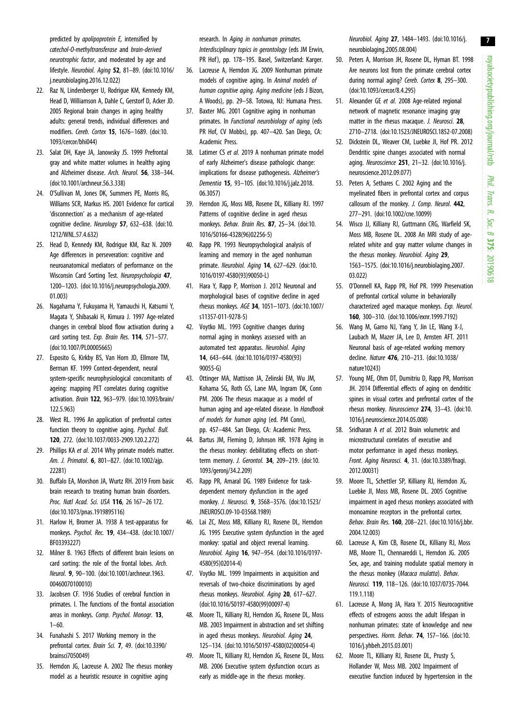royalsocietypublishing.org/journal/rstb royalsocietypublishing.org/journal/rstb Phil. Trans. R. Soc. $\sigma$ 375: 20190618

7

<span id="page-6-0"></span>predicted by apolipoprotein E, intensified by catechol-O-methyltransferase and brain-derived neurotrophic factor, and moderated by age and lifestyle. Neurobiol. Aging 52, 81–89. ([doi:10.1016/](http://dx.doi.org/10.1016/j.neurobiolaging.2016.12.022) [j.neurobiolaging.2016.12.022](http://dx.doi.org/10.1016/j.neurobiolaging.2016.12.022))

- 22. Raz N, Lindenberger U, Rodrigue KM, Kennedy KM, Head D, Williamson A, Dahle C, Gerstorf D, Acker JD. 2005 Regional brain changes in aging healthy adults: general trends, individual differences and modifiers. Cereb. Cortex 15, 1676–1689. [\(doi:10.](http://dx.doi.org/10.1093/cercor/bhi044) [1093/cercor/bhi044](http://dx.doi.org/10.1093/cercor/bhi044))
- 23. Salat DH, Kaye JA, Janowsky JS. 1999 Prefrontal gray and white matter volumes in healthy aging and Alzheimer disease. Arch. Neurol. 56, 338–344. [\(doi:10.1001/archneur.56.3.338\)](http://dx.doi.org/10.1001/archneur.56.3.338)
- 24. O'Sullivan M, Jones DK, Summers PE, Morris RG, Williams SCR, Markus HS. 2001 Evidence for cortical 'disconnection' as a mechanism of age-related cognitive decline. Neurology 57, 632–638. ([doi:10.](http://dx.doi.org/10.1212/WNL.57.4.632) [1212/WNL.57.4.632](http://dx.doi.org/10.1212/WNL.57.4.632))
- 25. Head D, Kennedy KM, Rodrigue KM, Raz N. 2009 Age differences in perseveration: cognitive and neuroanatomical mediators of performance on the Wisconsin Card Sorting Test. Neuropsychologia 47, 1200–1203. [\(doi:10.1016/j.neuropsychologia.2009.](http://dx.doi.org/10.1016/j.neuropsychologia.2009.01.003) [01.003\)](http://dx.doi.org/10.1016/j.neuropsychologia.2009.01.003)
- 26. Nagahama Y, Fukuyama H, Yamauchi H, Katsumi Y, Magata Y, Shibasaki H, Kimura J. 1997 Age-related changes in cerebral blood flow activation during a card sorting test. Exp. Brain Res. 114, 571–577. [\(doi:10.1007/PL00005665\)](http://dx.doi.org/10.1007/PL00005665)
- 27. Esposito G, Kirkby BS, Van Horn JD, Ellmore TM, Berman KF. 1999 Context-dependent, neural system-specific neurophysiological concomitants of ageing: mapping PET correlates during cognitive activation. Brain 122, 963–979. [\(doi:10.1093/brain/](http://dx.doi.org/10.1093/brain/122.5.963) [122.5.963](http://dx.doi.org/10.1093/brain/122.5.963))
- 28. West RL. 1996 An application of prefrontal cortex function theory to cognitive aging. Psychol. Bull. 120, 272. [\(doi:10.1037/0033-2909.120.2.272\)](http://dx.doi.org/10.1037/0033-2909.120.2.272)
- 29. Phillips KA et al. 2014 Why primate models matter. Am. J. Primatol. 6, 801-827. [\(doi:10.1002/ajp.](http://dx.doi.org/10.1002/ajp.22281) [22281\)](http://dx.doi.org/10.1002/ajp.22281)
- 30. Buffalo EA, Movshon JA, Wurtz RH. 2019 From basic brain research to treating human brain disorders. Proc. Natl Acad. Sci. USA 116, 26 167–26 172. [\(doi:10.1073/pnas.1919895116](http://dx.doi.org/10.1073/pnas.1919895116))
- 31. Harlow H, Bromer JA. 1938 A test-apparatus for monkeys. Psychol. Rec. 19, 434–438. [\(doi:10.1007/](http://dx.doi.org/10.1007/BF03393227) [BF03393227\)](http://dx.doi.org/10.1007/BF03393227)
- 32. Milner B. 1963 Effects of different brain lesions on card sorting: the role of the frontal lobes. Arch. Neurol. 9, 90–100. ([doi:10.1001/archneur.1963.](http://dx.doi.org/10.1001/archneur.1963.00460070100010) [00460070100010](http://dx.doi.org/10.1001/archneur.1963.00460070100010))
- 33. Jacobsen CF. 1936 Studies of cerebral function in primates. I. The functions of the frontal association areas in monkeys. Comp. Psychol. Monogr. 13,  $1 - 60.$
- 34. Funahashi S. 2017 Working memory in the prefrontal cortex. Brain Sci. 7, 49. ([doi:10.3390/](http://dx.doi.org/10.3390/brainsci7050049) [brainsci7050049](http://dx.doi.org/10.3390/brainsci7050049))
- 35. Herndon JG, Lacreuse A. 2002 The rhesus monkey model as a heuristic resource in cognitive aging

research. In Aging in nonhuman primates. Interdisciplinary topics in gerontology (eds JM Erwin, PR Hof), pp. 178–195. Basel, Switzerland: Karger.

- 36. Lacreuse A, Herndon JG. 2009 Nonhuman primate models of cognitive aging. In Animal models of human cognitive aging. Aging medicine (eds J Bizon, A Woods), pp. 29–58. Totowa, NJ: Humana Press.
- 37. Baxter MG. 2001 Cognitive aging in nonhuman primates. In Functional neurobiology of aging (eds PR Hof, CV Mobbs), pp. 407–420. San Diego, CA: Academic Press.
- 38. Latimer CS et al. 2019 A nonhuman primate model of early Alzheimer's disease pathologic change: implications for disease pathogenesis. Alzheimer's Dementia 15, 93–105. [\(doi:10.1016/j.jalz.2018.](http://dx.doi.org/10.1016/j.jalz.2018.06.3057) [06.3057\)](http://dx.doi.org/10.1016/j.jalz.2018.06.3057)
- 39. Herndon JG, Moss MB, Rosene DL, Killiany RJ. 1997 Patterns of cognitive decline in aged rhesus monkeys. Behav. Brain Res. 87, 25–34. [\(doi:10.](http://dx.doi.org/10.1016/S0166-4328(96)02256-5) [1016/S0166-4328\(96\)02256-5](http://dx.doi.org/10.1016/S0166-4328(96)02256-5))
- 40. Rapp PR. 1993 Neuropsychological analysis of learning and memory in the aged nonhuman primate. Neurobiol. Aging 14, 627–629. ([doi:10.](http://dx.doi.org/10.1016/0197-4580(93)90050-L) [1016/0197-4580\(93\)90050-L\)](http://dx.doi.org/10.1016/0197-4580(93)90050-L)
- 41. Hara Y, Rapp P, Morrison J. 2012 Neuronal and morphological bases of cognitive decline in aged rhesus monkeys. AGE 34, 1051–1073. [\(doi:10.1007/](http://dx.doi.org/10.1007/s11357-011-9278-5) [s11357-011-9278-5\)](http://dx.doi.org/10.1007/s11357-011-9278-5)
- 42. Voytko ML. 1993 Cognitive changes during normal aging in monkeys assessed with an automated test apparatus. Neurobiol. Aging 14, 643–644. ([doi:10.1016/0197-4580\(93\)](http://dx.doi.org/10.1016/0197-4580(93)90055-G) [90055-G](http://dx.doi.org/10.1016/0197-4580(93)90055-G))
- 43. Ottinger MA, Mattison JA, Zelinski EM, Wu JM, Kohama SG, Roth GS, Lane MA, Ingram DK, Conn PM. 2006 The rhesus macaque as a model of human aging and age-related disease. In Handbook of models for human aging (ed. PM Conn), pp. 457–484. San Diego, CA: Academic Press.
- 44. Bartus JM, Fleming D, Johnson HR. 1978 Aging in the rhesus monkey: debilitating effects on shortterm memory. J. Gerontol. 34, 209–219. ([doi:10.](http://dx.doi.org/10.1093/geronj/34.2.209) [1093/geronj/34.2.209](http://dx.doi.org/10.1093/geronj/34.2.209))
- 45. Rapp PR, Amaral DG. 1989 Evidence for taskdependent memory dysfunction in the aged monkey. J. Neurosci. 9, 3568–3576. ([doi:10.1523/](http://dx.doi.org/10.1523/JNEUROSCI.09-10-03568.1989) [JNEUROSCI.09-10-03568.1989](http://dx.doi.org/10.1523/JNEUROSCI.09-10-03568.1989))
- 46. Lai ZC, Moss MB, Killiany RJ, Rosene DL, Herndon JG. 1995 Executive system dysfunction in the aged monkey: spatial and object reversal learning. Neurobiol. Aging 16, 947–954. ([doi:10.1016/0197-](http://dx.doi.org/10.1016/0197-4580(95)02014-4) [4580\(95\)02014-4](http://dx.doi.org/10.1016/0197-4580(95)02014-4))
- 47. Voytko ML. 1999 Impairments in acquisition and reversals of two-choice discriminations by aged rhesus monkeys. Neurobiol. Aging 20, 617–627. [\(doi:10.1016/S0197-4580\(99\)00097-4](http://dx.doi.org/10.1016/S0197-4580(99)00097-4))
- 48. Moore TL, Killiany RJ, Herndon JG, Rosene DL, Moss MB. 2003 Impairment in abstraction and set shifting in aged rhesus monkeys. Neurobiol. Aging 24, 125–134. ([doi:10.1016/S0197-4580\(02\)00054-4\)](http://dx.doi.org/10.1016/S0197-4580(02)00054-4)
- 49. Moore TL, Killiany RJ, Herndon JG, Rosene DL, Moss MB. 2006 Executive system dysfunction occurs as early as middle-age in the rhesus monkey.

Neurobiol. Aging 27, 1484–1493. [\(doi:10.1016/j.](http://dx.doi.org/10.1016/j.neurobiolaging.2005.08.004) [neurobiolaging.2005.08.004](http://dx.doi.org/10.1016/j.neurobiolaging.2005.08.004))

- 50. Peters A, Morrison JH, Rosene DL, Hyman BT. 1998 Are neurons lost from the primate cerebral cortex during normal aging? Cereb. Cortex 8, 295-300. ([doi:10.1093/cercor/8.4.295](http://dx.doi.org/10.1093/cercor/8.4.295))
- 51. Alexander GE et al. 2008 Age-related regional network of magnetic resonance imaging gray matter in the rhesus macaque. J. Neurosci. 28, 2710–2718. [\(doi:10.1523/JNEUROSCI.1852-07.2008](http://dx.doi.org/10.1523/JNEUROSCI.1852-07.2008))
- 52. Dickstein DL, Weaver CM, Luebke JI, Hof PR. 2012 Dendritic spine changes associated with normal aging. Neuroscience 251, 21–32. [\(doi:10.1016/j.](http://dx.doi.org/10.1016/j.neuroscience.2012.09.077) [neuroscience.2012.09.077](http://dx.doi.org/10.1016/j.neuroscience.2012.09.077))
- 53. Peters A, Sethares C. 2002 Aging and the myelinated fibers in prefrontal cortex and corpus callosum of the monkey. J. Comp. Neurol. 442, 277–291. [\(doi:10.1002/cne.10099\)](http://dx.doi.org/10.1002/cne.10099)
- 54. Wisco JJ, Killiany RJ, Guttmann CRG, Warfield SK, Moss MB, Rosene DL. 2008 An MRI study of agerelated white and gray matter volume changes in the rhesus monkey. Neurobiol. Aging 29. 1563–1575. [\(doi:10.1016/j.neurobiolaging.2007.](http://dx.doi.org/10.1016/j.neurobiolaging.2007.03.022) [03.022](http://dx.doi.org/10.1016/j.neurobiolaging.2007.03.022))
- 55. O'Donnell KA, Rapp PR, Hof PR. 1999 Preservation of prefrontal cortical volume in behaviorally characterized aged macaque monkeys. Exp. Neurol. 160, 300–310. [\(doi:10.1006/exnr.1999.7192\)](http://dx.doi.org/10.1006/exnr.1999.7192)
- 56. Wang M, Gamo NJ, Yang Y, Jin LE, Wang X-J, Laubach M, Mazer JA, Lee D, Arnsten AFT. 2011 Neuronal basis of age-related working memory decline. Nature 476, 210–213. [\(doi:10.1038/](http://dx.doi.org/10.1038/nature10243) [nature10243](http://dx.doi.org/10.1038/nature10243))
- 57. Young ME, Ohm DT, Dumitriu D, Rapp PR, Morrison JH. 2014 Differential effects of aging on dendritic spines in visual cortex and prefrontal cortex of the rhesus monkey. Neuroscience 274, 33–43. ([doi:10.](http://dx.doi.org/10.1016/j.neuroscience.2014.05.008) [1016/j.neuroscience.2014.05.008](http://dx.doi.org/10.1016/j.neuroscience.2014.05.008))
- 58. Sridharan A et al. 2012 Brain volumetric and microstructural correlates of executive and motor performance in aged rhesus monkeys. Front. Aging Neurosci. 4, 31. [\(doi:10.3389/fnagi.](http://dx.doi.org/10.3389/fnagi.2012.00031) [2012.00031\)](http://dx.doi.org/10.3389/fnagi.2012.00031)
- 59. Moore TL, Schettler SP, Killiany RJ, Herndon JG, Luebke JI, Moss MB, Rosene DL. 2005 Cognitive impairment in aged rhesus monkeys associated with monoamine receptors in the prefrontal cortex. Behav. Brain Res. 160, 208–221. ([doi:10.1016/j.bbr.](http://dx.doi.org/10.1016/j.bbr.2004.12.003) [2004.12.003](http://dx.doi.org/10.1016/j.bbr.2004.12.003))
- 60. Lacreuse A, Kim CB, Rosene DL, Killiany RJ, Moss MB, Moore TL, Chennareddi L, Herndon JG. 2005 Sex, age, and training modulate spatial memory in the rhesus monkey (Macaca mulatta). Behav. Neurosci. 119, 118–126. [\(doi:10.1037/0735-7044.](http://dx.doi.org/10.1037/0735-7044.119.1.118) [119.1.118\)](http://dx.doi.org/10.1037/0735-7044.119.1.118)
- 61. Lacreuse A, Mong JA, Hara Y. 2015 Neurocognitive effects of estrogens across the adult lifespan in nonhuman primates: state of knowledge and new perspectives. Horm. Behav. 74, 157–166. ([doi:10.](http://dx.doi.org/10.1016/j.yhbeh.2015.03.001) [1016/j.yhbeh.2015.03.001](http://dx.doi.org/10.1016/j.yhbeh.2015.03.001))
- 62. Moore TL, Killiany RJ, Rosene DL, Prusty S, Hollander W, Moss MB. 2002 Impairment of executive function induced by hypertension in the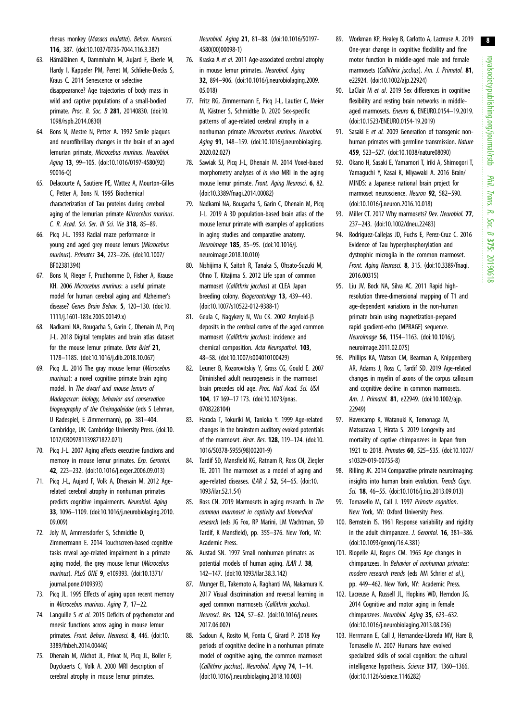<span id="page-7-0"></span>rhesus monkey (Macaca mulatta). Behav. Neurosci. 116, 387. [\(doi:10.1037/0735-7044.116.3.387\)](http://dx.doi.org/10.1037/0735-7044.116.3.387)

- 63. Hämäläinen A, Dammhahn M, Aujard F, Eberle M, Hardy I, Kappeler PM, Perret M, Schliehe-Diecks S, Kraus C. 2014 Senescence or selective disappearance? Age trajectories of body mass in wild and captive populations of a small-bodied primate. Proc. R. Soc. B 281, 20140830. [\(doi:10.](http://dx.doi.org/10.1098/rspb.2014.0830) [1098/rspb.2014.0830](http://dx.doi.org/10.1098/rspb.2014.0830))
- 64. Bons N, Mestre N, Petter A. 1992 Senile plaques and neurofibrillary changes in the brain of an aged lemurian primate, Microcebus murinus. Neurobiol. Aging 13, 99–105. [\(doi:10.1016/0197-4580\(92\)](http://dx.doi.org/10.1016/0197-4580(92)90016-Q) [90016-Q](http://dx.doi.org/10.1016/0197-4580(92)90016-Q))
- 65. Delacourte A, Sautiere PE, Wattez A, Mourton-Gilles C, Petter A, Bons N. 1995 Biochemical characterization of Tau proteins during cerebral aging of the lemurian primate Microcebus murinus. C. R. Acad. Sci. Ser. III Sci. Vie 318, 85–89.
- 66. Picq J-L. 1993 Radial maze performance in young and aged grey mouse lemurs (Microcebus murinus). Primates 34, 223–226. [\(doi:10.1007/](http://dx.doi.org/10.1007/BF02381394) [BF02381394\)](http://dx.doi.org/10.1007/BF02381394)
- 67. Bons N, Rieger F, Prudhomme D, Fisher A, Krause KH. 2006 Microcebus murinus: a useful primate model for human cerebral aging and Alzheimer's disease? Genes Brain Behav. 5, 120–130. ([doi:10.](http://dx.doi.org/10.1111/j.1601-183x.2005.00149.x) [1111/j.1601-183x.2005.00149.x\)](http://dx.doi.org/10.1111/j.1601-183x.2005.00149.x)
- 68. Nadkarni NA, Bougacha S, Garin C, Dhenain M, Picq J-L. 2018 Digital templates and brain atlas dataset for the mouse lemur primate. Data Brief 21, 1178–1185. [\(doi:10.1016/j.dib.2018.10.067\)](http://dx.doi.org/10.1016/j.dib.2018.10.067)
- 69. Picq JL. 2016 The gray mouse lemur (Microcebus murinus): a novel cognitive primate brain aging model. In The dwarf and mouse lemurs of Madagascar: biology, behavior and conservation biogeography of the Cheirogaleidae (eds S Lehman, U Radespiel, E Zimmermann), pp. 381–404. Cambridge, UK: Cambridge University Press. ([doi:10.](http://dx.doi.org/10.1017/CBO9781139871822.021) [1017/CBO9781139871822.021\)](http://dx.doi.org/10.1017/CBO9781139871822.021)
- 70. Picq J-L. 2007 Aging affects executive functions and memory in mouse lemur primates. Exp. Gerontol. 42, 223–232. ([doi:10.1016/j.exger.2006.09.013](http://dx.doi.org/10.1016/j.exger.2006.09.013))
- 71. Picq J-L, Aujard F, Volk A, Dhenain M. 2012 Agerelated cerebral atrophy in nonhuman primates predicts cognitive impairments. Neurobiol. Aging 33, 1096–1109. [\(doi:10.1016/j.neurobiolaging.2010.](http://dx.doi.org/10.1016/j.neurobiolaging.2010.09.009) [09.009\)](http://dx.doi.org/10.1016/j.neurobiolaging.2010.09.009)
- 72. Joly M, Ammersdorfer S, Schmidtke D, Zimmermann E. 2014 Touchscreen-based cognitive tasks reveal age-related impairment in a primate aging model, the grey mouse lemur (Microcebus murinus). PLoS ONE 9, e109393. [\(doi:10.1371/](http://dx.doi.org/10.1371/journal.pone.0109393) [journal.pone.0109393\)](http://dx.doi.org/10.1371/journal.pone.0109393)
- 73. Picq JL. 1995 Effects of aging upon recent memory in Microcebus murinus. Aging 7, 17–22.
- 74. Languille S et al. 2015 Deficits of psychomotor and mnesic functions across aging in mouse lemur primates. Front. Behav. Neurosci. 8, 446. ([doi:10.](http://dx.doi.org/10.3389/fnbeh.2014.00446) [3389/fnbeh.2014.00446\)](http://dx.doi.org/10.3389/fnbeh.2014.00446)
- 75. Dhenain M, Michot JL, Privat N, Picq JL, Boller F, Duyckaerts C, Volk A. 2000 MRI description of cerebral atrophy in mouse lemur primates.

Neurobiol. Aging 21, 81–88. ([doi:10.1016/S0197-](http://dx.doi.org/10.1016/S0197-4580(00)00098-1) [4580\(00\)00098-1](http://dx.doi.org/10.1016/S0197-4580(00)00098-1))

- 76. Kraska A et al. 2011 Age-associated cerebral atrophy in mouse lemur primates. Neurobiol. Aging 32, 894–906. ([doi:10.1016/j.neurobiolaging.2009.](http://dx.doi.org/10.1016/j.neurobiolaging.2009.05.018) [05.018](http://dx.doi.org/10.1016/j.neurobiolaging.2009.05.018))
- 77. Fritz RG, Zimmermann E, Picq J-L, Lautier C, Meier M, Kästner S, Schmidtke D. 2020 Sex-specific patterns of age-related cerebral atrophy in a nonhuman primate Microcebus murinus. Neurobiol. Aging **91**, 148-159. [\(doi:10.1016/j.neurobiolaging.](http://dx.doi.org/10.1016/j.neurobiolaging.2020.02.027) [2020.02.027\)](http://dx.doi.org/10.1016/j.neurobiolaging.2020.02.027)
- 78. Sawiak SJ, Picq J-L, Dhenain M. 2014 Voxel-based morphometry analyses of in vivo MRI in the aging mouse lemur primate. Front. Aging Neurosci. 6, 82. [\(doi:10.3389/fnagi.2014.00082](http://dx.doi.org/10.3389/fnagi.2014.00082))
- 79. Nadkarni NA, Bougacha S, Garin C, Dhenain M, Picq J-L. 2019 A 3D population-based brain atlas of the mouse lemur primate with examples of applications in aging studies and comparative anatomy. Neuroimage 185, 85–95. [\(doi:10.1016/j.](http://dx.doi.org/10.1016/j.neuroimage.2018.10.010) [neuroimage.2018.10.010](http://dx.doi.org/10.1016/j.neuroimage.2018.10.010))
- 80. Nishijima K, Saitoh R, Tanaka S, Ohsato-Suzuki M, Ohno T, Kitajima S. 2012 Life span of common marmoset (Callithrix jacchus) at CLEA Japan breeding colony. Biogerontology 13, 439–443. [\(doi:10.1007/s10522-012-9388-1](http://dx.doi.org/10.1007/s10522-012-9388-1))
- 81. Geula C, Nagykery N, Wu CK. 2002 Amyloid-B deposits in the cerebral cortex of the aged common marmoset (Callithrix jacchus): incidence and chemical composition. Acta Neuropathol. 103, 48–58. ([doi:10.1007/s004010100429](http://dx.doi.org/10.1007/s004010100429))
- 82. Leuner B, Kozorovitskiy Y, Gross CG, Gould E. 2007 Diminished adult neurogenesis in the marmoset brain precedes old age. Proc. Natl Acad. Sci. USA 104, 17 169–17 173. ([doi:10.1073/pnas.](http://dx.doi.org/10.1073/pnas.0708228104) [0708228104\)](http://dx.doi.org/10.1073/pnas.0708228104)
- 83. Harada T, Tokuriki M, Tanioka Y. 1999 Age-related changes in the brainstem auditory evoked potentials of the marmoset. Hear. Res. 128, 119–124. [\(doi:10.](http://dx.doi.org/10.1016/S0378-5955(98)00201-9) [1016/S0378-5955\(98\)00201-9](http://dx.doi.org/10.1016/S0378-5955(98)00201-9))
- 84. Tardif SD, Mansfield KG, Ratnam R, Ross CN, Ziegler TE. 2011 The marmoset as a model of aging and age-related diseases. ILAR J. 52, 54-65. ([doi:10.](http://dx.doi.org/10.1093/ilar.52.1.54) [1093/ilar.52.1.54](http://dx.doi.org/10.1093/ilar.52.1.54))
- 85. Ross CN. 2019 Marmosets in aging research. In The common marmoset in captivity and biomedical research (eds JG Fox, RP Marini, LM Wachtman, SD Tardif, K Mansfield), pp. 355–376. New York, NY: Academic Press.
- 86. Austad SN. 1997 Small nonhuman primates as potential models of human aging. ILAR J. 38. 142–147. ([doi:10.1093/ilar.38.3.142](http://dx.doi.org/10.1093/ilar.38.3.142))
- 87. Munger EL, Takemoto A, Raghanti MA, Nakamura K. 2017 Visual discrimination and reversal learning in aged common marmosets (Callithrix jacchus). Neurosci. Res. 124, 57–62. ([doi:10.1016/j.neures.](http://dx.doi.org/10.1016/j.neures.2017.06.002) [2017.06.002\)](http://dx.doi.org/10.1016/j.neures.2017.06.002)
- 88. Sadoun A, Rosito M, Fonta C, Girard P. 2018 Key periods of cognitive decline in a nonhuman primate model of cognitive aging, the common marmoset (Callithrix jacchus). Neurobiol. Aging 74, 1–14. [\(doi:10.1016/j.neurobiolaging.2018.10.003\)](http://dx.doi.org/10.1016/j.neurobiolaging.2018.10.003)
- 89. Workman KP, Healey B, Carlotto A, Lacreuse A. 2019 One-year change in cognitive flexibility and fine motor function in middle-aged male and female marmosets (Callithrix jacchus). Am. J. Primatol. 81, e22924. ([doi:10.1002/ajp.22924](http://dx.doi.org/10.1002/ajp.22924))
- 90. LaClair M et al. 2019 Sex differences in cognitive flexibility and resting brain networks in middleaged marmosets. Eneuro 6, ENEURO.0154–19.2019. ([doi:10.1523/ENEURO.0154-19.2019\)](http://dx.doi.org/10.1523/ENEURO.0154-19.2019)
- 91. Sasaki E et al. 2009 Generation of transgenic nonhuman primates with germline transmission. Nature 459, 523–527. [\(doi:10.1038/nature08090](http://dx.doi.org/10.1038/nature08090))
- 92. Okano H, Sasaki E, Yamamori T, Iriki A, Shimogori T, Yamaguchi Y, Kasai K, Miyawaki A. 2016 Brain/ MINDS: a Japanese national brain project for marmoset neuroscience. Neuron 92, 582–590. ([doi:10.1016/j.neuron.2016.10.018\)](http://dx.doi.org/10.1016/j.neuron.2016.10.018)
- 93. Miller CT. 2017 Why marmosets? Dev. Neurobiol. 77, 237–243. [\(doi:10.1002/dneu.22483](http://dx.doi.org/10.1002/dneu.22483))
- 94. Rodriguez-Callejas JD, Fuchs E, Perez-Cruz C. 2016 Evidence of Tau hyperphosphorylation and dystrophic microglia in the common marmoset. Front. Aging Neurosci. 8, 315. ([doi:10.3389/fnagi.](http://dx.doi.org/10.3389/fnagi.2016.00315) [2016.00315\)](http://dx.doi.org/10.3389/fnagi.2016.00315)
- 95. Liu JV, Bock NA, Silva AC. 2011 Rapid highresolution three-dimensional mapping of T1 and age-dependent variations in the non-human primate brain using magnetization-prepared rapid gradient-echo (MPRAGE) sequence. Neuroimage 56, 1154–1163. ([doi:10.1016/j.](http://dx.doi.org/10.1016/j.neuroimage.2011.02.075) [neuroimage.2011.02.075\)](http://dx.doi.org/10.1016/j.neuroimage.2011.02.075)
- 96. Phillips KA, Watson CM, Bearman A, Knippenberg AR, Adams J, Ross C, Tardif SD. 2019 Age-related changes in myelin of axons of the corpus callosum and cognitive decline in common marmosets. Am. J. Primatol. 81, e22949. ([doi:10.1002/ajp.](http://dx.doi.org/10.1002/ajp.22949) [22949\)](http://dx.doi.org/10.1002/ajp.22949)
- 97. Havercamp K, Watanuki K, Tomonaga M, Matsuzawa T, Hirata S. 2019 Longevity and mortality of captive chimpanzees in Japan from 1921 to 2018. Primates 60, 525–535. [\(doi:10.1007/](http://dx.doi.org/10.1007/s10329-019-00755-8) [s10329-019-00755-8\)](http://dx.doi.org/10.1007/s10329-019-00755-8)
- 98. Rilling JK. 2014 Comparative primate neuroimaging: insights into human brain evolution. Trends Coan. Sci. 18, 46–55. ([doi:10.1016/j.tics.2013.09.013\)](http://dx.doi.org/10.1016/j.tics.2013.09.013)
- 99. Tomasello M, Call J. 1997 Primate cognition. New York, NY: Oxford University Press.
- 100. Bernstein IS. 1961 Response variability and rigidity in the adult chimpanzee. J. Gerontol. 16, 381–386. ([doi:10.1093/geronj/16.4.381\)](http://dx.doi.org/10.1093/geronj/16.4.381)
- 101. Riopelle AJ, Rogers CM. 1965 Age changes in chimpanzees. In Behavior of nonhuman primates: modern research trends (eds AM Schrier et al.), pp. 449–462. New York, NY: Academic Press.
- 102. Lacreuse A, Russell JL, Hopkins WD, Herndon JG. 2014 Cognitive and motor aging in female chimpanzees. Neurobiol. Aging 35, 623-632. ([doi:10.1016/j.neurobiolaging.2013.08.036\)](http://dx.doi.org/10.1016/j.neurobiolaging.2013.08.036)
- 103. Herrmann E, Call J, Hernandez-Lloreda MV, Hare B, Tomasello M. 2007 Humans have evolved specialized skills of social cognition: the cultural intelligence hypothesis. Science 317, 1360-1366. ([doi:10.1126/science.1146282](http://dx.doi.org/10.1126/science.1146282))